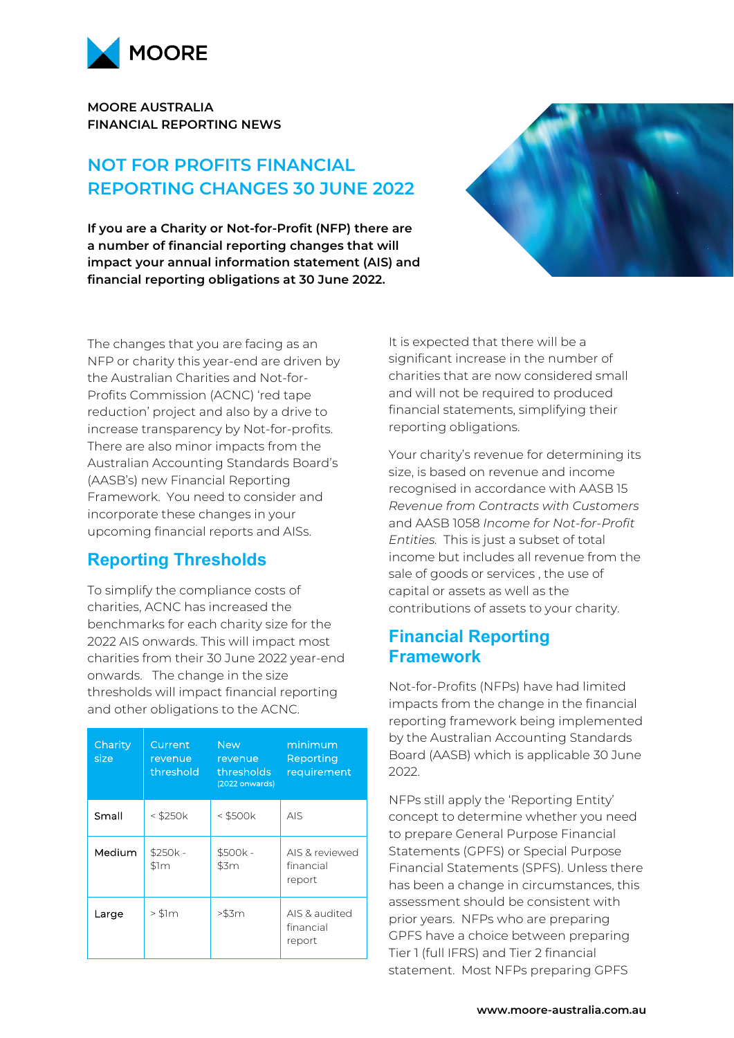

**MOORE AUSTRALIA FINANCIAL REPORTING NEWS**

# **NOT FOR PROFITS FINANCIAL REPORTING CHANGES 30 JUNE 2022**

**If you are a Charity or Not-for-Profit (NFP) there are a number of financial reporting changes that will impact your annual information statement (AIS) and financial reporting obligations at 30 June 2022.** 



# **Reporting Thresholds**

To simplify the compliance costs of charities, ACNC has increased the benchmarks for each charity size for the 2022 AIS onwards. This will impact most charities from their 30 June 2022 year-end onwards. The change in the size thresholds will impact financial reporting and other obligations to the ACNC.

| Charity<br>size | Current<br>revenue<br>threshold | <b>New</b><br>revenue<br>thresholds<br>(2022 onwards) | minimum<br>Reporting<br>requirement   |
|-----------------|---------------------------------|-------------------------------------------------------|---------------------------------------|
| Small           | $<$ \$250 $k$                   | $<$ \$500 $k$                                         | <b>AIS</b>                            |
| Medium          | \$250k -<br>\$1m                | \$500k-<br>\$3m                                       | AIS & reviewed<br>financial<br>report |
| Large           | $>$ \$1 $m$                     | >\$3m                                                 | AIS & audited<br>financial<br>report  |



It is expected that there will be a significant increase in the number of charities that are now considered small and will not be required to produced financial statements, simplifying their reporting obligations.

Your charity's revenue for determining its size, is based on revenue and income recognised in accordance with AASB 15 *Revenue from Contracts with Customers* and AASB 1058 *Income for Not-for-Profit Entities.* This is just a subset of total income but includes all revenue from the sale of goods or services , the use of capital or assets as well as the contributions of assets to your charity.

### **Financial Reporting Framework**

Not-for-Profits (NFPs) have had limited impacts from the change in the financial reporting framework being implemented by the Australian Accounting Standards Board (AASB) which is applicable 30 June 2022.

NFPs still apply the 'Reporting Entity' concept to determine whether you need to prepare General Purpose Financial Statements (GPFS) or Special Purpose Financial Statements (SPFS). Unless there has been a change in circumstances, this assessment should be consistent with prior years. NFPs who are preparing GPFS have a choice between preparing Tier 1 (full IFRS) and Tier 2 financial statement. Most NFPs preparing GPFS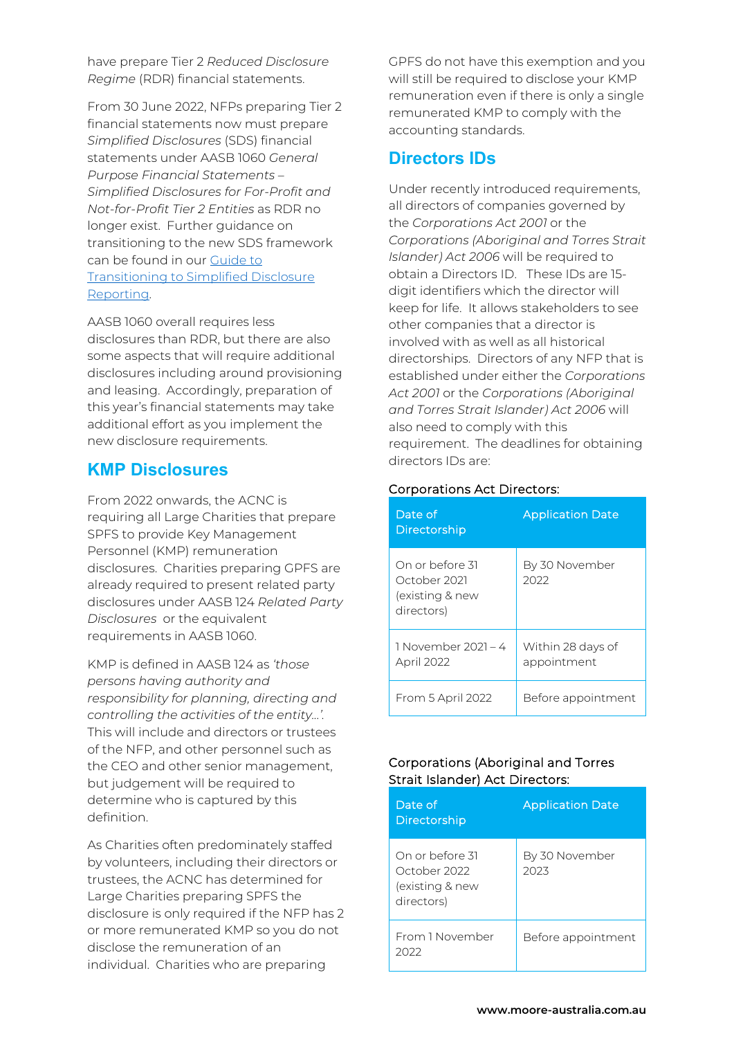have prepare Tier 2 *Reduced Disclosure Regime* (RDR) financial statements.

From 30 June 2022, NFPs preparing Tier 2 financial statements now must prepare *Simplified Disclosures* (SDS) financial statements under AASB 1060 *General Purpose Financial Statements – Simplified Disclosures for For-Profit and Not-for-Profit Tier 2 Entities* as RDR no longer exist. Further guidance on transitioning to the new SDS framework can be found in our [Guide to](https://www.moore-australia.com.au/news-and-views/may-2022/guide-to-transitioning-to-simplified-disclosure-re)  [Transitioning to Simplified Disclosure](https://www.moore-australia.com.au/news-and-views/may-2022/guide-to-transitioning-to-simplified-disclosure-re)  [Reporting.](https://www.moore-australia.com.au/news-and-views/may-2022/guide-to-transitioning-to-simplified-disclosure-re)

AASB 1060 overall requires less disclosures than RDR, but there are also some aspects that will require additional disclosures including around provisioning and leasing. Accordingly, preparation of this year's financial statements may take additional effort as you implement the new disclosure requirements.

### **KMP Disclosures**

From 2022 onwards, the ACNC is requiring all Large Charities that prepare SPFS to provide Key Management Personnel (KMP) remuneration disclosures. Charities preparing GPFS are already required to present related party disclosures under AASB 124 *Related Party Disclosures* or the equivalent requirements in AASB 1060.

KMP is defined in AASB 124 as *'those persons having authority and responsibility for planning, directing and controlling the activities of the entity...'.*  This will include and directors or trustees of the NFP, and other personnel such as the CEO and other senior management, but judgement will be required to determine who is captured by this definition.

As Charities often predominately staffed by volunteers, including their directors or trustees, the ACNC has determined for Large Charities preparing SPFS the disclosure is only required if the NFP has 2 or more remunerated KMP so you do not disclose the remuneration of an individual. Charities who are preparing

GPFS do not have this exemption and you will still be required to disclose your KMP remuneration even if there is only a single remunerated KMP to comply with the accounting standards.

# **Directors IDs**

Under recently introduced requirements, all directors of companies governed by the *Corporations Act 2001* or the *Corporations (Aboriginal and Torres Strait Islander) Act 2006* will be required to obtain a Directors ID. These IDs are 15 digit identifiers which the director will keep for life. It allows stakeholders to see other companies that a director is involved with as well as all historical directorships. Directors of any NFP that is established under either the *Corporations Act 2001* or the *Corporations (Aboriginal and Torres Strait Islander) Act 2006* will also need to comply with this requirement. The deadlines for obtaining directors IDs are:

| Date of<br>Directorship                                         | <b>Application Date</b>          |
|-----------------------------------------------------------------|----------------------------------|
| On or before 31<br>October 2021<br>existing & new<br>directors) | By 30 November<br>2022           |
| 1 November 2021 - 4<br>April 2022                               | Within 28 days of<br>appointment |
| From 5 April 2022                                               | Before appointment               |

#### Corporations Act Directors:

#### Corporations (Aboriginal and Torres Strait Islander) Act Directors:

| Date of<br>Directorship                                         | <b>Application Date</b> |
|-----------------------------------------------------------------|-------------------------|
| On or before 31<br>October 2022<br>existing & new<br>directors) | By 30 November<br>2023  |
| From 1 November<br>2022                                         | Before appointment      |